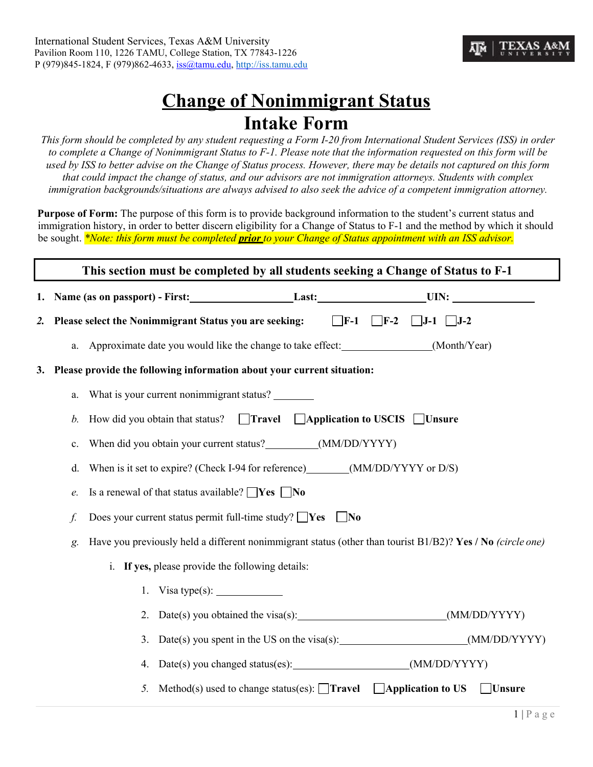

# **Change of Nonimmigrant Status Intake Form**

*This form should be completed by any student requesting a Form I-20 from International Student Services (ISS) in order to complete a Change of Nonimmigrant Status to F-1. Please note that the information requested on this form will be used by ISS to better advise on the Change of Status process. However, there may be details not captured on this form that could impact the change of status, and our advisors are not immigration attorneys. Students with complex immigration backgrounds/situations are always advised to also seek the advice of a competent immigration attorney.*

**Purpose of Form:** The purpose of this form is to provide background information to the student's current status and immigration history, in order to better discern eligibility for a Change of Status to F-1 and the method by which it should be sought. *\*Note: this form must be completed prior to your Change of Status appointment with an ISS advisor.*

| This section must be completed by all students seeking a Change of Status to F-1 |                                                                        |                                                                                                                  |
|----------------------------------------------------------------------------------|------------------------------------------------------------------------|------------------------------------------------------------------------------------------------------------------|
|                                                                                  |                                                                        | 1. Name (as on passport) - First: Last: Last: UIN:                                                               |
| 2.                                                                               |                                                                        | Please select the Nonimmigrant Status you are seeking:<br>$\Box$ F-1 $\Box$ F-2<br>$\Box J$ -1 $\Box J$ -2       |
|                                                                                  |                                                                        | a. Approximate date you would like the change to take effect: (Month/Year)                                       |
| 3.                                                                               | Please provide the following information about your current situation: |                                                                                                                  |
|                                                                                  | a.                                                                     | What is your current nonimmigrant status?                                                                        |
|                                                                                  | b.                                                                     | How did you obtain that status? $\Box$ <b>Travel</b> $\Box$ <b>Application to USCIS</b> $\Box$ <b>Unsure</b>     |
|                                                                                  | c.                                                                     | When did you obtain your current status?____________(MM/DD/YYYY)                                                 |
|                                                                                  | d.                                                                     | When is it set to expire? (Check I-94 for reference) ________(MM/DD/YYYY or D/S)                                 |
|                                                                                  | e.                                                                     | Is a renewal of that status available? $\Box$ Yes $\Box$ No                                                      |
|                                                                                  | f.                                                                     | Does your current status permit full-time study? $\Box$ Yes $\Box$ No                                            |
|                                                                                  | g.                                                                     | Have you previously held a different nonimmigrant status (other than tourist B1/B2)? Yes / No (circle one)       |
|                                                                                  |                                                                        | i. If yes, please provide the following details:                                                                 |
|                                                                                  |                                                                        | 1. Visa type(s): $\_\_\_\_\_\_\_\_\_\_\_\_\_\_\_\_\_\_\_\_\_\_\_\_\_\_\_\_$                                      |
|                                                                                  |                                                                        |                                                                                                                  |
|                                                                                  |                                                                        | 3. Date(s) you spent in the US on the visa(s): ____________________________(MM/DD/YYYY)                          |
|                                                                                  |                                                                        |                                                                                                                  |
|                                                                                  |                                                                        | Method(s) used to change status(es): $\Box$ <b>Travel</b> $\Box$ <b>Application to US</b><br><b>Unsure</b><br>5. |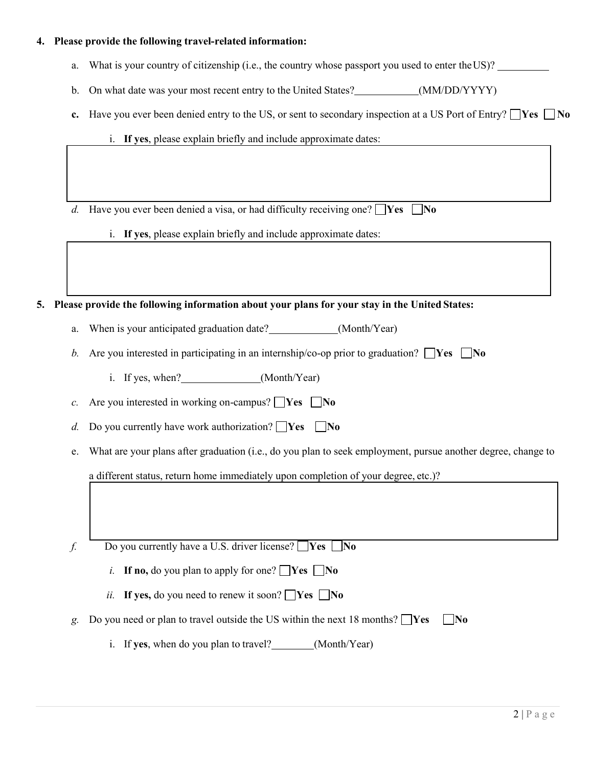## **4. Please provide the following travel-related information:**

- a. What is your country of citizenship (i.e., the country whose passport you used to enter theUS)?
- b. On what date was your most recent entry to the United States? (MM/DD/YYYY)
- **c.** Have you ever been denied entry to the US, or sent to secondary inspection at a US Port of Entry?  $\Box$ **Yes**  $\Box$ **No** 
	- i. **If yes**, please explain briefly and include approximate dates:

*d.* Have you ever been denied a visa, or had difficulty receiving one?  $\Box$  Yes  $\Box$  No

i. **If yes**, please explain briefly and include approximate dates:

#### **5. Please provide the following information about your plans for your stay in the United States:**

- a. When is your anticipated graduation date? (Month/Year)
- *b.* Are you interested in participating in an internship/co-op prior to graduation?  $\Box$  Yes  $\Box$  No
	- i. If yes, when? (Month/Year)

*c.* Are you interested in working on-campus?  $\Box$  Yes  $\Box$  No

- *d.* Do you currently have work authorization?  $\Box$  Yes  $\Box$  No
- e. What are your plans after graduation (i.e., do you plan to seek employment, pursue another degree, change to

a different status, return home immediately upon completion of your degree, etc.)?

*f.* Do you currently have a U.S. driver license?  $\Box$  Yes  $\Box$  No

- *i.* **If no,** do you plan to apply for one?  $\Box$  Yes  $\Box$  No
- *ii.* If yes, do you need to renew it soon?  $\Box$  Yes  $\Box$  No
- *g.* Do you need or plan to travel outside the US within the next 18 months?  $\mathbf{Yes}$   $\mathbf{No}$ 
	- i. If **yes**, when do you plan to travel? \_\_\_\_\_\_\_(Month/Year)